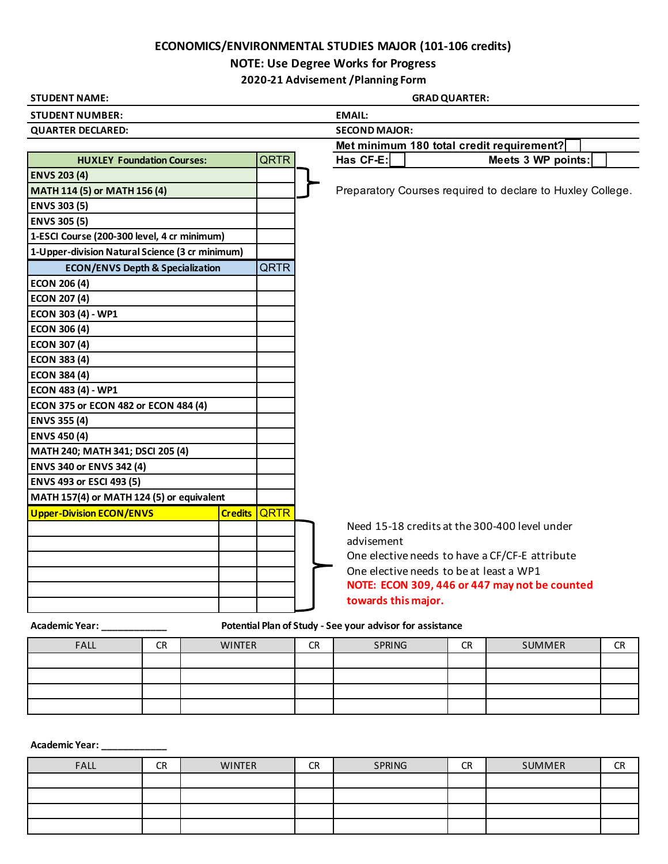## **ECONOMICS/ENVIRONMENTAL STUDIES MAJOR (101-106 credits)**

## **NOTE: Use Degree Works for Progress**

**2020-21 Advisement /Planning Form**

| <b>STUDENT NAME:</b>                            |  |              |  | <b>GRAD QUARTER:</b>                                      |                                                            |  |  |  |  |
|-------------------------------------------------|--|--------------|--|-----------------------------------------------------------|------------------------------------------------------------|--|--|--|--|
| <b>STUDENT NUMBER:</b>                          |  |              |  | <b>EMAIL:</b>                                             |                                                            |  |  |  |  |
| <b>QUARTER DECLARED:</b>                        |  |              |  | <b>SECOND MAJOR:</b>                                      |                                                            |  |  |  |  |
|                                                 |  |              |  | Met minimum 180 total credit requirement?                 |                                                            |  |  |  |  |
| <b>HUXLEY Foundation Courses:</b>               |  | QRTR         |  | Has CF-E:                                                 | Meets 3 WP points:                                         |  |  |  |  |
| <b>ENVS 203 (4)</b>                             |  |              |  |                                                           |                                                            |  |  |  |  |
| MATH 114 (5) or MATH 156 (4)                    |  |              |  |                                                           | Preparatory Courses required to declare to Huxley College. |  |  |  |  |
| <b>ENVS 303 (5)</b>                             |  |              |  |                                                           |                                                            |  |  |  |  |
| <b>ENVS 305 (5)</b>                             |  |              |  |                                                           |                                                            |  |  |  |  |
| 1-ESCI Course (200-300 level, 4 cr minimum)     |  |              |  |                                                           |                                                            |  |  |  |  |
| 1-Upper-division Natural Science (3 cr minimum) |  |              |  |                                                           |                                                            |  |  |  |  |
| <b>ECON/ENVS Depth &amp; Specialization</b>     |  | QRTR         |  |                                                           |                                                            |  |  |  |  |
| <b>ECON 206 (4)</b>                             |  |              |  |                                                           |                                                            |  |  |  |  |
| <b>ECON 207 (4)</b>                             |  |              |  |                                                           |                                                            |  |  |  |  |
| <b>ECON 303 (4) - WP1</b>                       |  |              |  |                                                           |                                                            |  |  |  |  |
| <b>ECON 306 (4)</b>                             |  |              |  |                                                           |                                                            |  |  |  |  |
| <b>ECON 307 (4)</b>                             |  |              |  |                                                           |                                                            |  |  |  |  |
| <b>ECON 383 (4)</b>                             |  |              |  |                                                           |                                                            |  |  |  |  |
| <b>ECON 384 (4)</b>                             |  |              |  |                                                           |                                                            |  |  |  |  |
| <b>ECON 483 (4) - WP1</b>                       |  |              |  |                                                           |                                                            |  |  |  |  |
| ECON 375 or ECON 482 or ECON 484 (4)            |  |              |  |                                                           |                                                            |  |  |  |  |
| <b>ENVS 355 (4)</b>                             |  |              |  |                                                           |                                                            |  |  |  |  |
| <b>ENVS 450 (4)</b>                             |  |              |  |                                                           |                                                            |  |  |  |  |
| MATH 240; MATH 341; DSCI 205 (4)                |  |              |  |                                                           |                                                            |  |  |  |  |
| <b>ENVS 340 or ENVS 342 (4)</b>                 |  |              |  |                                                           |                                                            |  |  |  |  |
| <b>ENVS 493 or ESCI 493 (5)</b>                 |  |              |  |                                                           |                                                            |  |  |  |  |
| MATH 157(4) or MATH 124 (5) or equivalent       |  |              |  |                                                           |                                                            |  |  |  |  |
| <b>Upper-Division ECON/ENVS</b>                 |  | Credits QRTR |  |                                                           |                                                            |  |  |  |  |
|                                                 |  |              |  |                                                           | Need 15-18 credits at the 300-400 level under              |  |  |  |  |
|                                                 |  |              |  | advisement                                                |                                                            |  |  |  |  |
|                                                 |  |              |  |                                                           | One elective needs to have a CF/CF-E attribute             |  |  |  |  |
|                                                 |  |              |  |                                                           | One elective needs to be at least a WP1                    |  |  |  |  |
|                                                 |  |              |  |                                                           | NOTE: ECON 309, 446 or 447 may not be counted              |  |  |  |  |
|                                                 |  |              |  | towards this major.                                       |                                                            |  |  |  |  |
| <b>Academic Year:</b>                           |  |              |  | Potential Plan of Study - See your advisor for assistance |                                                            |  |  |  |  |

| <b>FALL</b> | CR | <b>WINTER</b> | <b>CR</b> | SPRING | <b>CR</b> | SUMMER | <b>CR</b> |
|-------------|----|---------------|-----------|--------|-----------|--------|-----------|
|             |    |               |           |        |           |        |           |
|             |    |               |           |        |           |        |           |
|             |    |               |           |        |           |        |           |
|             |    |               |           |        |           |        |           |

**Academic Year: \_\_\_\_\_\_\_\_\_\_\_\_**

| FALL | CR | <b>WINTER</b> | <b>CR</b> | SPRING | <b>CR</b> | <b>SUMMER</b> | <b>CR</b> |
|------|----|---------------|-----------|--------|-----------|---------------|-----------|
|      |    |               |           |        |           |               |           |
|      |    |               |           |        |           |               |           |
|      |    |               |           |        |           |               |           |
|      |    |               |           |        |           |               |           |